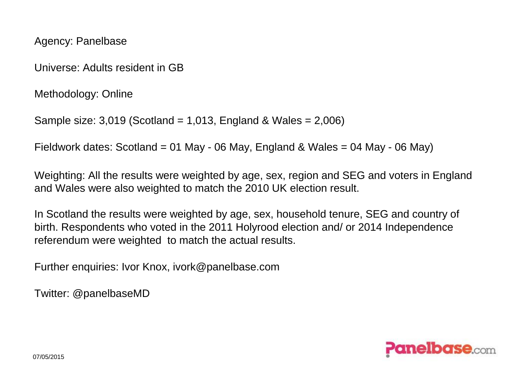Agency: Panelbase

Universe: Adults resident in GB

Methodology: Online

```
Sample size: 3,019 (Scotland = 1,013, England & Wales = 2,006)
```
Fieldwork dates: Scotland = 01 May - 06 May, England & Wales = 04 May - 06 May)

Weighting: All the results were weighted by age, sex, region and SEG and voters in England and Wales were also weighted to match the 2010 UK election result.

In Scotland the results were weighted by age, sex, household tenure, SEG and country of birth. Respondents who voted in the 2011 Holyrood election and/ or 2014 Independence referendum were weighted to match the actual results.

Further enquiries: Ivor Knox, ivork@panelbase.com

Twitter: @panelbaseMD

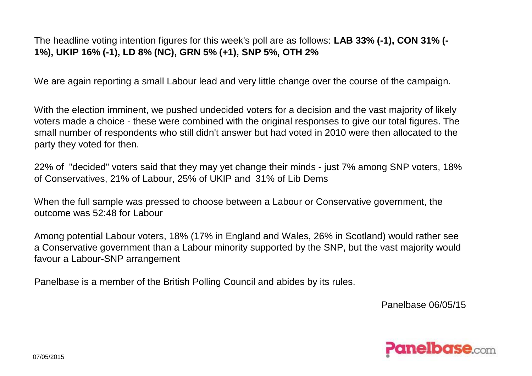The headline voting intention figures for this week's poll are as follows: **LAB 33% (-1), CON 31% (- 1%), UKIP 16% (-1), LD 8% (NC), GRN 5% (+1), SNP 5%, OTH 2%**

We are again reporting a small Labour lead and very little change over the course of the campaign.

With the election imminent, we pushed undecided voters for a decision and the vast majority of likely voters made a choice - these were combined with the original responses to give our total figures. The small number of respondents who still didn't answer but had voted in 2010 were then allocated to the party they voted for then.

22% of "decided" voters said that they may yet change their minds - just 7% among SNP voters, 18% of Conservatives, 21% of Labour, 25% of UKIP and 31% of Lib Dems

When the full sample was pressed to choose between a Labour or Conservative government, the outcome was 52:48 for Labour

Among potential Labour voters, 18% (17% in England and Wales, 26% in Scotland) would rather see a Conservative government than a Labour minority supported by the SNP, but the vast majority would favour a Labour-SNP arrangement

Panelbase is a member of the British Polling Council and abides by its rules.

Panelbase 06/05/15

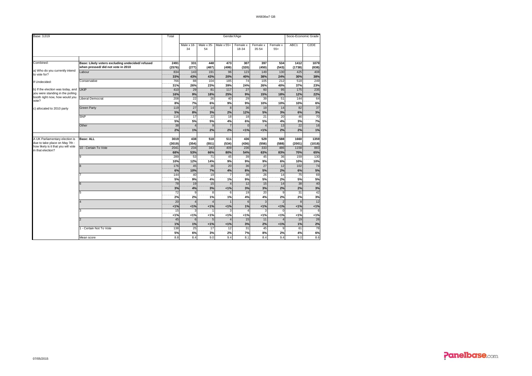| Base: 3,019                                              | GenderXAge<br>Total                                                                   |                 |                  |                         |              |                   |                   | Socio-Economic Grade |                 |                   |  |
|----------------------------------------------------------|---------------------------------------------------------------------------------------|-----------------|------------------|-------------------------|--------------|-------------------|-------------------|----------------------|-----------------|-------------------|--|
|                                                          |                                                                                       |                 | Male x 18-<br>34 | Male x 35-<br>54        | Male x 55+   | Female x<br>18-34 | Female x<br>35-54 | Female x<br>$55+$    | ABC1            | C <sub>2</sub> DE |  |
|                                                          |                                                                                       |                 |                  |                         |              |                   |                   |                      |                 |                   |  |
| Combined:                                                | Base: Likely voters excluding undecided/refused<br>when pressed/ did not vote in 2010 | 2491<br>(2576)  | 331<br>(277)     | 448<br>(487)            | 473<br>(499) | 307<br>(320)      | 397<br>(450)      | 534<br>(543)         | 1412<br>(1738)  | 1079<br>(838)     |  |
| a) Who do you currently intend                           | Labour                                                                                | 834             | 143              | 191                     | 96           | 123               | 149               | 130                  | 425             | 408               |  |
| to vote for?                                             |                                                                                       | 33%             | 43%              | 43%                     | 20%          | 40%               | 38%               | 24%                  | 30%             | 38%               |  |
| If Undecided:                                            | Conservative                                                                          | 766             | 88               | 104                     | 185          | 74                | 105               | 212                  | 518             | 249               |  |
|                                                          |                                                                                       | 31%             | 26%              | 23%                     | 39%          | 24%               | 26%               | 40%                  | 37%             | 23%               |  |
| b) If the election was today, and                        | <b>UKIP</b>                                                                           | 410             | 29               | 81                      | 117          | 27                | 60                | 95                   | 175             | 235               |  |
| you were standing in the polling                         |                                                                                       | 16%             | 9%               | 18%                     | 25%          | 9%                | 15%               | 18%                  | 12%             | 22%               |  |
| booth right now, how would you                           | Liberal Democrat                                                                      | 208             | 22               | 26                      | 40           | 29                | 39                | 51                   | 144             | 64                |  |
| vote?                                                    |                                                                                       | 8%              | 7%               | 6%                      | 9%           | 9%                | 10%               | 10%                  | 10%             | 6%                |  |
| c) allocated to 2010 party                               | <b>Green Party</b>                                                                    | 119             | 27               | 14                      | 8            | 36                | 19                | 14                   | 82              | 37                |  |
|                                                          |                                                                                       | 5%              | 8%               | 3%                      | 2%           | 12%               | 5%                | 3%                   | 6%              | 3%                |  |
|                                                          | <b>SNP</b>                                                                            | 116             | 17               | 22                      | 18           | 18                | 21                | 20                   | 46              | $\overline{70}$   |  |
|                                                          |                                                                                       | 5%              | 5%               | 5%                      | 4%           | 6%                | 5%                | 4%                   | 3%              | 7%                |  |
|                                                          | Other                                                                                 | 38              |                  | $\overline{9}$          |              | $\Omega$          | $\overline{a}$    | 13                   | 22              | 16                |  |
|                                                          |                                                                                       | 2%              | 1%               | 2%                      | 2%           | 1%                | 1%                | 2%                   | 2%              | 1%                |  |
|                                                          |                                                                                       |                 |                  |                         |              |                   |                   |                      |                 |                   |  |
| A UK Parliamentary election is                           | Base: ALL                                                                             | 3019            | 438              | 518                     | 511          | 436               | 529               | 588                  | 1660            | 1359              |  |
| due to take place on May 7th -                           |                                                                                       | (3019)          | (354)            | (551)                   | (534)        | (436)             | (556)             | (588)                | (2001)          | (1018)            |  |
| how likely is it that you will vote<br>in that election? | 10 - Certain To Vote                                                                  | 2041            | 234              | 343                     | 409          | 236               | 333               | 486                  | 1158            | 883               |  |
|                                                          |                                                                                       | 68%             | 53%              | 66%                     | 80%          | 54%               | 63%               | 83%                  | 70%             | 65%               |  |
|                                                          | 9                                                                                     | 289             | 53               | 71                      | 45           | 39                | 45                | 36                   | 159             | 130               |  |
|                                                          |                                                                                       | 10%             | 12%              | 14%                     | 9%           | 9%                | 9%                | 6%                   | 10%             | 10%               |  |
|                                                          | 8                                                                                     | 176             | 45               | 36                      | 20           | 36                | 27                | 12                   | 102             | 74                |  |
|                                                          |                                                                                       | 6%              | 10%              | 7%                      | 4%           | 8%                | 5%                | 2%                   | 6%              | 5%                |  |
|                                                          |                                                                                       | 144             | 40               | 19                      |              | 38                | 26                | 14                   | $\overline{75}$ | 69                |  |
|                                                          |                                                                                       | 5%              | 9%               | 4%                      | 1%           | 9%                | 5%                | 2%                   | 5%              | 5%                |  |
|                                                          | 6                                                                                     | $\overline{78}$ | 19               | 15                      |              | 12                | $\overline{15}$   | 14                   | 38              | 40                |  |
|                                                          |                                                                                       | 3%              | 4%               | 3%                      | 1%           | 3%                | 3%                | 2%                   | 2%              | 3%                |  |
|                                                          | 5                                                                                     | $\overline{72}$ | 9                | $\overline{8}$          | 6            | 19                | 20                | 9                    | 31              | 42                |  |
|                                                          |                                                                                       | 2%              | 2%               | 1%                      | 1%           | 4%                | 4%                | 2%                   | 2%              | 3%                |  |
|                                                          |                                                                                       | 20              |                  | $\overline{\mathbf{z}}$ |              | 6                 | 3                 | 2                    | 8               | 12                |  |
|                                                          |                                                                                       | 1%              | 1%               | 1%                      | 1%           | 1%                | 1%                | 1%                   | 1%              | 1%                |  |
|                                                          | 3                                                                                     | 15              | p                |                         |              |                   |                   |                      | o               | 6                 |  |
|                                                          |                                                                                       | 1%              | < 1%             | 1%                      | 1%           | 1%                | < 1%              | 1%                   | 1%              | 1%                |  |
|                                                          | $\overline{2}$                                                                        | 45              | 6                | F                       |              | 15                | 11                |                      | 19              | 26                |  |
|                                                          |                                                                                       | 1%              | 1%               | 1%                      | 1%           | 3%                | 2%                | 1%                   | 1%              | 2%                |  |
|                                                          | - Certain Not To Vote                                                                 | 138             | 25               | 17                      | 12           | $\overline{31}$   | 45                |                      | 61              | 78                |  |
|                                                          |                                                                                       | 5%              | 6%               | 3%                      | 2%           | 7%                | 8%                | 2%                   | 4%              | 6%                |  |
|                                                          | Mean score                                                                            | 8.8             | 8.4              | 9.0                     | 9.4          | 8.1               | 8.4               | 9.4                  | 9.0             | 8.6               |  |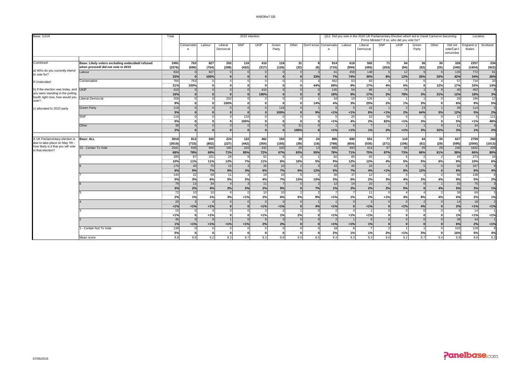| Base: 3,019                                                                                                  |                                                                                       | Total            |                                        |                 |                    | 2015 intention  |              |                                   |               |                        |                 |              | Q12. Did you vote in the 2010 UK Parliamentary Election which led to David Cameron becoming |                            | Prime Minister? If so, who did you vote for? |                             |                         |                                   | Location            |                       |  |
|--------------------------------------------------------------------------------------------------------------|---------------------------------------------------------------------------------------|------------------|----------------------------------------|-----------------|--------------------|-----------------|--------------|-----------------------------------|---------------|------------------------|-----------------|--------------|---------------------------------------------------------------------------------------------|----------------------------|----------------------------------------------|-----------------------------|-------------------------|-----------------------------------|---------------------|-----------------------|--|
|                                                                                                              |                                                                                       |                  | Conservativ<br>e                       | Labour          | Liberal<br>Democra | SNP             | <b>UKIP</b>  | Green<br>Party                    | Other         | Don't know Conservativ | $\epsilon$      | Labour       | Liberal<br>Democrat                                                                         | SNP                        | UKIP                                         | Green<br>Party              | Other                   | Did not<br>vote/Can't<br>remember | England or<br>Wales | Scotland              |  |
| Combined:                                                                                                    | Base: Likely voters excluding undecided/refused<br>when pressed/ did not vote in 2010 | 2491<br>(2576)   | 763<br>(690)                           | 827<br>(754)    | 202<br>(208)       | 116<br>(432)    | 410<br>(317) | 118<br>(126)                      | -31 I<br>(32) | (6)                    | 814<br>(715)    | 618<br>(594) | 502<br>(493)                                                                                | 71<br>(263)                | 94<br>(94)                                   | 36<br>(52)                  | 30 <sup>1</sup><br>(25) | 326<br>(340)                      | 2257<br>(1654)      | 234<br>(922)          |  |
| a) Who do you currently intend<br>to vote for?                                                               | Labour                                                                                | 834<br>33%       | $\overline{0}$<br>$\Omega$             | 827<br>100%     |                    |                 |              | $\Omega$<br>$\Omega$              |               | 33%                    | 61<br>7%        | 458<br>74%   | 148<br>30%                                                                                  | 8%                         | 12<br>12%                                    | 25%                         | 20%                     | 135<br>42%                        | 772<br>34%          | 61<br>26%             |  |
| If Undecided:                                                                                                | Conservative                                                                          | 766<br>31%       | 763<br>100%                            | $\Omega$        |                    |                 |              | $\Omega$<br>$\Omega$              |               | 44%                    | 562<br>69%      | 53<br>9%     | 83<br>17%                                                                                   | 4%                         | $5\overline{5}$<br>6%                        | $\Omega$                    | 12%                     | 57<br>17%                         | 734<br>33%          | 33<br>14%             |  |
| b) If the election was today, and UKIP<br>you were standing in the polling<br>booth right now, how would you |                                                                                       | 410<br>16%       | $\Omega$<br>$\Omega$                   | $\Omega$        |                    |                 | 410<br>100%  | $\Omega$<br>$\Omega$              |               |                        | 145<br>18%      | 54<br>9%     | 86<br>17%                                                                                   | 2%                         | 74<br>78%                                    | 3%                          | 31%                     | 40<br>12%                         | 402<br>18%          | 3%                    |  |
| vote?                                                                                                        | iberal Democrat                                                                       | 208<br>8%        | $\overline{0}$<br>$\Omega$             | $\Omega$        | 202<br>100%        |                 |              | $\Omega$<br>$\Omega$              |               | 14%                    | 34<br>4%        | 19<br>3%     | 126<br>25%                                                                                  | $\overline{1}$<br>2%       | $\mathbf{1}$<br>1%                           | 3%                          |                         | 26<br>$\overline{8\%}$            | 196<br>9%           | $\overline{12}$<br>5% |  |
| c) allocated to 2010 party                                                                                   | <b>Green Party</b>                                                                    | 119<br>5%        | $\Omega$<br>$\Omega$                   |                 |                    |                 |              | 118<br>100%                       |               | 9%                     | 1%              | 1%           | 42<br>8%                                                                                    | 1%                         | $\overline{2}$<br>2%                         | 23<br>64%                   | 5%                      | 39<br>12%                         | 114<br>5%           | 2%                    |  |
|                                                                                                              | <b>SNP</b><br>Other                                                                   | 116<br>5%<br>38  | $\Omega$<br>$\Omega$<br>$\overline{0}$ | $\Omega$<br>n   |                    | 116<br>100%     |              | $\Omega$<br>$\Omega$              | 31            |                        | 1%              | 25<br>4%     | 10<br>2%                                                                                    | 58<br>82%                  | $\Omega$<br>1%                               | 3%                          |                         | 17<br>5%<br>11                    | < 1%<br>34          | 111<br>48%            |  |
|                                                                                                              |                                                                                       | 2%               | $\Omega$                               | $\Omega$        |                    |                 |              | $\mathbf{0}$                      | 100%          |                        | 1%              | 1%           | 1%                                                                                          | 2%                         | 1%                                           | 3%                          | 32%                     | 3%                                | 1%                  | 2%                    |  |
| A UK Parliamentary election is<br>due to take place on May 7th                                               | <b>Base: ALL</b>                                                                      | 3019<br>(3019)   | 812<br>(733)                           | 945<br>(852)    | 224<br>(227)       | 122<br>(442)    | 462<br>(354) | 150<br>(155)                      | 39<br>(39)    | 24<br>(16)             | 885<br>(768)    | 690<br>(654) | 551<br>(535)                                                                                | 77<br>(271)                | 110<br>(106)                                 | 44<br>(61)                  | 35<br>(29)              | 627<br>(595)                      | 2759<br>(2006)      | 260<br>(1013)         |  |
| how likely is it that you will vote<br>in that election?                                                     | 10 - Certain To Vote                                                                  | 204'<br>68%      | 636<br>78%                             | 656<br>69%      | 160<br>71%         | 104<br>85%      | 332<br>72%   | 100<br>67%                        | 25<br>63%     | 13<br>55%              | 689<br>78%      | 493<br>71%   | 414<br>75%                                                                                  | 67<br>87%                  | 80<br>73%                                    | 29<br>66%                   | 29<br>81%               | 240<br>38%                        | 1832<br>66%         | 209<br>80%            |  |
|                                                                                                              |                                                                                       | 289<br>10%       | 87<br>11%                              | 101<br>11%      | 28<br>12%          | 7%              | 52<br>11%    | q<br>6%                           | 10%           | 5%                     | 82<br>9%        | 80<br>12%    | 65<br>12%                                                                                   | $\mathbf{B}$<br>4%         | 6<br>5%                                      | $\overline{2}$<br><b>5%</b> | 6%                      | 49<br>8%                          | 273<br>10%          | 16<br>6%              |  |
|                                                                                                              |                                                                                       | 176<br>6%        | 40<br>5%                               | 70<br>7%        | 15<br>6%           | 3%              | 26<br>6%     | 10<br>7%                          | 6%            | 12%                    | 43<br>5%        | 45<br>7%     | 23<br>4%                                                                                    | $< 1\%$                    | $\mathbf{8}$<br>8%                           | 12%                         |                         | 50<br>8%                          | 167<br>6%           | 4%                    |  |
|                                                                                                              |                                                                                       | 144<br>5%        | 22<br>3%                               | 58<br>6%        | 11<br>5%           | 2%              | 19<br>4%     | 10 <sup>1</sup><br><b>7%</b>      | 13%           | 10%                    | 30<br>3%        | 37<br>5%     | 12<br>2%                                                                                    | $\mathcal{P}$<br>3%        | 5 <sup>1</sup><br>4%                         | 3%                          | 4%                      | 56<br>9%                          | 138<br>5%           | 2%                    |  |
|                                                                                                              |                                                                                       | 78<br>3%         | 13<br>2%                               | 34<br>4%        | 2%                 | 2%              | 11<br>2%     | 5%                                |               | 7%                     | 12<br>1%        | 14<br>2%     | 10<br>2%                                                                                    | $\overline{2}$<br>2%       | $\overline{5}$<br>5%                         | $\Omega$                    | 4%                      | 33<br>5%                          | 75<br>3%            | 1%                    |  |
|                                                                                                              |                                                                                       | 72<br>2%         | 10<br>1%                               | 10<br>1%        | 3%                 | 1%              | 10<br>2%     | 10<br>6%                          | 6%            | 8%                     | 1%              | 1%           | 11<br>2%                                                                                    | $\Omega$<br>1%             | $\overline{4}$<br>4%                         | 8%                          | 4%                      | 38<br>6%                          | 69<br>2%            | 1%                    |  |
|                                                                                                              |                                                                                       | 20<br>1%         | 3<br>1%                                | 1%              |                    |                 | 1%           | $\Omega$<br>1%                    |               | 4%                     | 1%              |              | $\mathbf{R}$<br>$1\%$                                                                       | $\Omega$                   | $\overline{0}$<br>1%                         | $\overline{2}$<br>4%        |                         | 14<br>2%                          | 18<br>1%            | < 1%                  |  |
|                                                                                                              |                                                                                       | 15<br>< 1%       | $\circ$<br>$\Omega$                    | 1%              |                    |                 | 1%           | $\overline{2}$<br>1%              | 2%            |                        | 1%              | 1%           | $< 1\%$                                                                                     | $\mathbf{a}$               | $\circ$<br>$\bf{0}$                          |                             |                         | 1%                                | 14<br>1%            | 1%                    |  |
|                                                                                                              |                                                                                       | 45<br>1%         | $\Omega$<br>1%                         | 1%              | 1%                 | 1%              | 2%           | $\mathcal{R}$<br>2%               |               |                        | 1%              | 1%           | $\kappa$<br>1%                                                                              |                            | $\circ$<br>$\bf{0}$                          |                             |                         | 36<br>6%                          | 44<br>2%            | 1%                    |  |
|                                                                                                              | - Certain Not To Vote<br>Mean score                                                   | 138<br>5%<br>8.8 | $\circ$<br>ÖΪ<br>9.6                   | $\Omega$<br>9.2 | 9.3                | $\Omega$<br>9.7 | ຶດ<br>9.3    | $\Omega$<br>$\overline{0}$<br>8.9 | 9.0           | 8.5                    | 18<br>2%<br>9.4 | 1%<br>9.3    | 1%<br>9.3                                                                                   | $\mathcal{P}$<br>2%<br>9.6 | 1%<br>9.2                                    | 3%<br>8.7                   | 9.4                     | 102<br>16%<br>6.8                 | 129<br>5%<br>8.8    | 4%<br>9.3             |  |
|                                                                                                              |                                                                                       |                  |                                        |                 |                    |                 |              |                                   |               |                        |                 |              |                                                                                             |                            |                                              |                             |                         |                                   |                     |                       |  |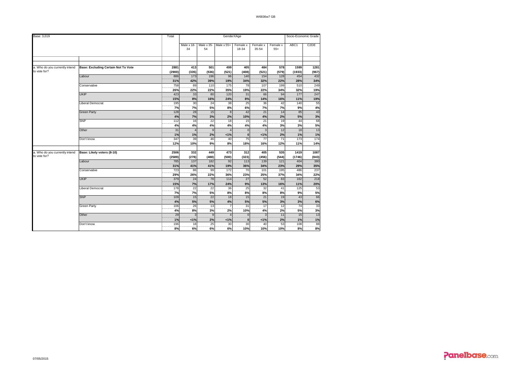| Base: 3,019                                    |                                            | Total          |                    |                  |                 | GenderXAge        |                         |                   |                | Socio-Economic Grade |
|------------------------------------------------|--------------------------------------------|----------------|--------------------|------------------|-----------------|-------------------|-------------------------|-------------------|----------------|----------------------|
|                                                |                                            |                | Male $x$ 18-<br>34 | Male x 35-<br>54 | Male x 55+      | Female x<br>18-34 | Female x<br>35-54       | Female x<br>$55+$ | ABC1           | C <sub>2</sub> DE    |
|                                                |                                            |                |                    |                  |                 |                   |                         |                   |                |                      |
|                                                |                                            |                |                    |                  |                 |                   |                         |                   |                |                      |
| a. Who do you currently intend<br>to vote for? | <b>Base: Excluding Certain Not To Vote</b> | 2881<br>(2900) | 413<br>(335)       | 501<br>(536)     | 499<br>(521)    | 405<br>(408)      | 484<br>(521)            | 578<br>(579)      | 1599<br>(1933) | 1281<br>(967)        |
|                                                | Labour                                     | 886            | 173                | 196              | 96              | 140               | 154                     | 128               | 454            | 432                  |
|                                                |                                            | 31%            | 42%                | 39%              | 19%             | 34%               | 32%                     | 22%               | 28%            | 34%                  |
|                                                | Conservative                               | 758            | 89                 | 110              | 175             | 78                | 107                     | 199               | 510            | 249                  |
|                                                |                                            | 26%            | 22%                | 22%              | 35%             | 19%               | 22%                     | 34%               | 32%            | 19%                  |
|                                                | <b>UKIP</b>                                | 423            | 33                 | 80               | 120             | 31                | 66                      | 94                | 177            | 247                  |
|                                                |                                            | 15%            | 8%                 | 16%              | 24%             | 8%                | 14%                     | 16%               | 11%            | 19%                  |
|                                                | Liberal Democrat                           | 195            | 30                 | 24               | 38              | 25                | 36                      | 42                | 140            | 55                   |
|                                                |                                            | 7%             | 7%                 | 5%               | 8%              | 6%                | 7%                      | 7%                | 9%             | 4%                   |
|                                                | <b>Green Party</b>                         | 128            | 28                 | 15               | 8               | 42                | 21                      | 14                | 85             | $\frac{43}{3%}$      |
|                                                |                                            | 4%             | 7%                 | 3%               | 2%              | 10%               | 4%                      | 2%                | 5%             |                      |
|                                                | <b>SNP</b>                                 | 112            | 16                 | $\frac{22}{2}$   | 18              | 15                | 21                      | 19                | 44             | 68                   |
|                                                |                                            | 4%             | 4%                 | 4%               | 4%              | 4%                | 4%                      | 3%                | 3%             | 5%                   |
|                                                | Other                                      | 31             |                    | $\overline{9}$   |                 | $\overline{0}$    | $\overline{\mathbf{3}}$ | 12                | 18             | 13                   |
|                                                |                                            | 1%             | 1%                 | 2%               | 1%              | $\mathbf{0}$      | 1%                      | 2%                | 1%             | $\overline{1\%}$     |
|                                                | Don't know                                 | 347            | 39                 | 46<br>           | 40              | 75                | 77                      | 71                | 173            | 174                  |
|                                                |                                            | 12%            | 10%                | 9%               | 8%              | 18%               | 16%                     | 12%               | 11%            | 14%                  |
| a. Who do you currently intend                 | Base: Likely voters (8-10)                 | 2506           | 332                | 449              | 473             | 312               | 405                     | 535               | 1419           | 1087                 |
| to vote for?                                   |                                            | (2589)         | (278)              | (488)            | (500)           | (323)             | (456)                   | (544)             | (1746)         | (843)                |
|                                                | Labour                                     | 785            | 137                | 182              | 92              | 113               | 139                     | 121               | 404            | 380                  |
|                                                |                                            | 31%            | 41%                | 41%              | 19%             | 36%               | 34%                     | 23%               | 29%            | 35%                  |
|                                                | Conservative                               | 723            | 86                 | 99               | 172             | 70                | 101                     | 195               | 486            | 237                  |
|                                                |                                            | 29%            | 26%                | 22%              | 36%             | 23%               | 25%                     | 37%               | 34%            | 22%                  |
|                                                | <b>UKIP</b>                                | 379            | 24                 | 78               | 114             | $\overline{27}$   | 52                      | 83                | 162            | 218                  |
|                                                |                                            | 15%            | 7%                 | 17%              | 24%             | 9%                | 13%                     | 16%               | 11%            | 20%                  |
|                                                | Liberal Democrat                           | 178            | $\overline{22}$    | $\overline{22}$  | $\overline{36}$ | 25                | $\overline{32}$         | 41                | 125            | 53                   |
|                                                |                                            | 7%             | 7%                 | 5%               | 8%              | 8%                | 8%                      | 8%                | 9%             | 5%                   |
|                                                | <b>SNP</b>                                 | 109            | 15                 | 22               | 18              | 15                | 21                      | 19                | 43             | 66                   |
|                                                |                                            | 4%             | 5%                 | 5%               | 4%              | 5%                | 5%                      | 3%                | 3%             | 6%                   |
|                                                | Green Party                                | 106            | 26                 | 13               | $\overline{7}$  | 31                | 17                      | 12                | 74             | $\frac{33}{2}$       |
|                                                |                                            | 4%             | 8%                 | 3%               | 2%              | 10%               | 4%                      | 2%                | 5%             | 3%                   |
|                                                | Other                                      | 29             | 3                  | $\overline{9}$   |                 | $\Omega$          | $\overline{\mathbf{3}}$ | 11                | 15             | 13                   |
|                                                |                                            | 1%             | 1%                 | 2%               | 1%              | $\mathbf{0}$      | 1%                      | 2%                | 1%             | 1%                   |
|                                                | Don't know                                 | 196            | 18                 | 25               | 30              | 30                | 40                      | 53                | 108            | 88                   |
|                                                |                                            | 8%             | 6%                 | 6%               | 6%              | 10%               | 10%                     | 10%               | 8%             | 8%                   |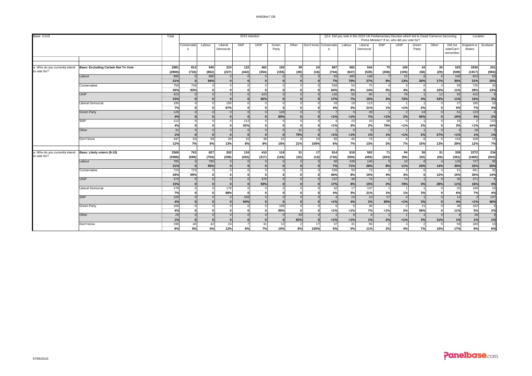| Base: 3,019                    |                                     | Total      |                      |            |                     |            | 2015 intention |                |                 |      |                        |                | Q12. Did you vote in the 2010 UK Parliamentary Election which led to David Cameron becoming |                | Prime Minister? If so, who did you vote for? |                |       |                                   | Location            |                |
|--------------------------------|-------------------------------------|------------|----------------------|------------|---------------------|------------|----------------|----------------|-----------------|------|------------------------|----------------|---------------------------------------------------------------------------------------------|----------------|----------------------------------------------|----------------|-------|-----------------------------------|---------------------|----------------|
|                                |                                     |            | Conservativ<br>e     | Labour     | Liberal<br>Democrat | <b>SNP</b> | UKIP           | Green<br>Party | Other           |      | Don't know Conservativ | Labour         | Liberal<br>Democrat                                                                         | SNP            | <b>UKIP</b>                                  | Green<br>Party | Other | Did not<br>vote/Can't<br>remember | England or<br>Wales | Scotland       |
|                                |                                     |            |                      |            |                     |            |                |                |                 |      |                        |                |                                                                                             |                |                                              |                |       |                                   |                     |                |
| a. Who do you currently intend | Base: Excluding Certain Not To Vote | 2881       | 812                  | 945        | 224                 | 122        | 462            | 150            | 39 <sub>l</sub> | 24   | 867                    | 682            | 544                                                                                         | 75             | 109                                          | 43             | 35 I  | 525                               | 2630                | 251            |
| to vote for?                   |                                     | (2900)     | (733)                | (852)      | (227)               | (442)      | (354)          | (155)          | (39)            | (16) | (754)                  | (647)          | (530)                                                                                       | (268)          | (105)                                        | (58)           | (29)  | (509)                             | (1917)              | (983)          |
|                                | Labour                              | 886        | $\Omega$             | 886        |                     |            |                |                |                 |      | 63                     | 480            | 148                                                                                         |                | 15                                           |                |       | 160                               | 823                 | 63             |
|                                |                                     | 31%        | $\mathbf{r}$         | 94%        |                     |            |                | $\Omega$       |                 |      | 7%                     | 70%            | 27%                                                                                         | 9%             | 13%                                          | 20%            | 17%   | 30%                               | 31%                 | 25%<br>34      |
|                                | Conservative                        | 758<br>26% | 758<br>93%           | $\Omega$   |                     |            |                |                |                 |      | 558<br>64%             | 54<br>8%       | 75<br>14%                                                                                   | 5%             | 4%                                           |                | 10%   | 59<br>11%                         | 725<br>28%          | 13%            |
|                                | <b>UKIP</b>                         | 423        |                      | $\Omega$   |                     |            | 423            | $\Omega$       |                 |      | 145                    | 50             | 80                                                                                          |                | 78                                           |                | 12    | 55                                | 415                 |                |
|                                |                                     | 15%        |                      | $\Omega$   |                     |            | 92%            |                |                 |      | 17%                    | 7%             | 15%                                                                                         | 2%             | 72%                                          | 3%             | 33%   | 11%                               | 16%                 | 3%             |
|                                | Liberal Democrat                    | 195        | $\Omega$             | $\Omega$   | 195                 |            |                | $\Omega$       |                 |      | 33                     | 19             | 113                                                                                         |                |                                              |                |       | 27                                | 185                 | 10             |
|                                |                                     | 7%         | $\Omega$             | n          | 87%                 |            | $\mathbf{0}$   | $\Omega$       |                 |      | 4%                     | 3%             | 21%                                                                                         | 1%             | 1%                                           | 2%             | ΩI    | 5%                                | 7%                  | 4%             |
|                                | <b>Green Party</b>                  | 128        | $\Omega$             | $\Omega$   | $\Omega$            | $\Omega$   |                | 128            | $\Omega$        |      | $\overline{7}$         | 5 <sub>1</sub> | 39                                                                                          |                | $\overline{2}$                               | 24             |       | 51                                | 123                 |                |
|                                |                                     | 4%         |                      |            |                     |            |                | 85%            |                 |      | $1\%$                  | $1\%$          | 7%                                                                                          | $< 1\%$        | 2%                                           | 56%            |       | 10%                               | 5%                  | 2%             |
|                                | SNP                                 | 112        | $\Omega$             | $\Omega$   |                     | 112        |                | $\sqrt{ }$     |                 |      |                        | 23<br>         | 10                                                                                          | 58             | $\Omega$                                     |                |       | 15                                | $\overline{2}$      | 110            |
|                                |                                     | 4%         | $\Omega$             |            |                     | 92%        |                |                |                 |      | 1%                     | 3%             | 2%                                                                                          | 78%            | 1%                                           | 2%             |       | 3%                                | 1%                  | 44%            |
|                                | Other                               | 31         | $\Omega$             | $\Omega$   |                     |            |                |                | 31              |      |                        |                |                                                                                             |                |                                              |                |       |                                   | 28                  |                |
|                                |                                     | 1%         | $\Omega$             | $\sqrt{ }$ |                     |            |                |                | 79%             |      | 1%                     | 1%             | 1%                                                                                          | 1%             | 1%                                           | 2%             | 27%   | 1%                                | 1%                  | 1%             |
|                                | Don't know                          | 347        | 53<br>               | 59         | <b>29</b>           | 10         | 38             | 22             |                 | 24   | 55                     | 45<br>         | 73                                                                                          | $\overline{2}$ | $\mathbf{R}$                                 |                |       | 154                               | 329                 | 19             |
|                                |                                     | 12%        | 7%                   | 6%         | 13%                 | 8%         | 8%             | 15%            | 21%             | 100% | 6%                     | 7%             | 13%                                                                                         | 2%             | 7%                                           | 15%            | 13%   | 29%                               | 12%                 | 7%             |
| a. Who do you currently intend | Base: Likely voters (8-10)          | 2506       | 763                  | 827        | 202                 | 116        | 410            | 118            | 31              | 17   | 814                    | 618            | 502                                                                                         | 71             | 94                                           | 36             | 31    | 339                               | 2272                | 234            |
| to vote for?                   |                                     | (2589)     | (690)                | (754)      | (208)               | (432)      | (317)          | (126)          | (32)            | (12) | (716)                  | (594)          | (493)                                                                                       | (263)          | (94)                                         | (52)           | (26)  | (351)                             | (1665)              | (924)          |
|                                | Labour                              | 785        | $\Omega$             | 785        |                     |            |                |                |                 |      | 58                     | 438            | 140                                                                                         | 5              | 10                                           |                |       | 120                               | 727                 | 58             |
|                                |                                     | 31%        |                      | 95%        |                     |            |                |                |                 |      | 7%                     | 71%            | 28%                                                                                         | 8%             | 11%                                          | 23%            | 14%   | 35%                               | 32%                 | 25%            |
|                                | Conservative                        | 723        | 723                  | $\Omega$   |                     |            |                |                |                 |      | 539                    | 50             | 73                                                                                          |                | 3                                            |                |       | 51                                | 691                 | 32             |
|                                |                                     | 29%        | 95%                  |            |                     |            |                |                |                 |      | 66%                    | 8%             | 15%                                                                                         | 4%             | 3%                                           |                | 12%   | 15%                               | 30%                 | 14%            |
|                                | <b>UKIP</b>                         | 379        | $\Omega$             | $^{\circ}$ |                     |            | 379            | $\Omega$       |                 |      | 137                    | 48             | 74                                                                                          |                | 74                                           |                |       | 36                                | 371                 |                |
|                                |                                     | 15%        | $\mathbf{a}$         | $\Omega$   |                     |            | 93%            |                |                 |      | 17%                    | 8%             | 15%                                                                                         | 2%             | 78%                                          | 3%             | 28%   | 11%                               | 16%                 | 3%             |
|                                | Liberal Democrat                    | 178        |                      |            | 178                 |            |                |                |                 |      | 32                     | 17             | 107                                                                                         |                |                                              |                |       | 20                                | 169                 | 10             |
|                                |                                     | 7%         | ol                   | $\sqrt{2}$ | 88%                 |            | $\sqrt{ }$     | $\Omega$       | n               |      | 4%                     | 3%             | 21%                                                                                         | 1%             | 1%                                           | 3%             | n.    | 6%                                | 7%                  | 4%             |
|                                | <b>SNP</b>                          | 109        | $\Omega$             | $\Omega$   |                     | 109        | $\Omega$       | $\Omega$       |                 |      | $\overline{a}$         | 23             | 10                                                                                          | 57             | $\Omega$                                     |                |       | 14                                | $\overline{2}$      | 107            |
|                                |                                     | 4%         |                      |            |                     | 94%        |                |                |                 |      | $< 1\%$                | 4%             | 2%                                                                                          | 80%            | $1\%$                                        | 3%             |       | 4%                                | $< 1\%$             | 46%            |
|                                | <b>Green Party</b>                  | 106<br>4%  | $\Omega$<br>$\Omega$ | $\Omega$   |                     |            |                | 106<br>90%     |                 |      | ĥ                      |                | 36<br>7%                                                                                    |                | 2%                                           | 21<br>59%      |       | 36<br>11%                         | 102<br>5%           | 2%             |
|                                | Other                               | 29         | $\Omega$             | $\Omega$   |                     |            |                |                | 29              |      | 1%                     | 1%             | -6                                                                                          | 1%             |                                              |                |       |                                   | 26                  | $\overline{3}$ |
|                                |                                     | 1%         |                      |            |                     |            |                |                | 92%             |      | 1%                     | 1%             | 1%                                                                                          | 2%             | 1%                                           | 3%             | 31%   | 1%                                | 1%                  | 1%             |
|                                | Don't know                          | 196        | 40                   | 42         | 24                  |            | 31             | 12             |                 | 17   | 37                     | 31             | 56                                                                                          |                |                                              |                |       | 59                                | 183                 | 13             |
|                                |                                     | 8%         | 5%                   | 5%         | 12%                 | 6%         | 7%             | 10%            | 8%              | 100% | 5%                     | <b>5%</b>      | 11%                                                                                         | 2%             | 4%                                           | 7%             | 15%   | 17%                               | 8%                  | 6%             |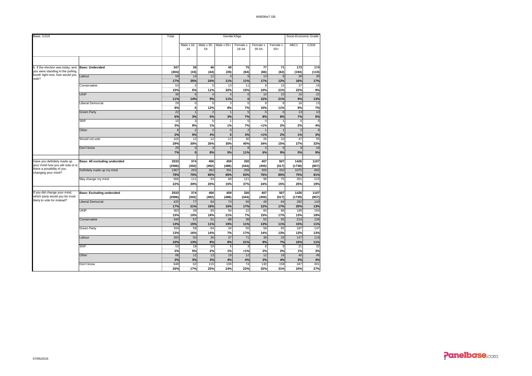| Base: 3,019                             |                                  | Total      |                  |                  |                 | GenderXAge        |                   |                   |            | Socio-Economic Grade |
|-----------------------------------------|----------------------------------|------------|------------------|------------------|-----------------|-------------------|-------------------|-------------------|------------|----------------------|
|                                         |                                  |            | Male x 18-<br>34 | Male x 35-<br>54 | Male x 55+      | Female x<br>18-34 | Female x<br>35-54 | Female x<br>$55+$ | ABC1       | C <sub>2</sub> DE    |
|                                         |                                  |            |                  |                  |                 |                   |                   |                   |            |                      |
| b. If the election was today, and       | <b>Base: Undecided</b>           | 347        | 39               | 46               | 40              | 75                | 77                | 71                | 173        | 174                  |
| you were standing in the polling        |                                  | (304)      | (33)             | (44)             | (35)            | (64)              | (66)              | (62)              | (194)      | (110)                |
| booth right now, how would you<br>vote? | Labour                           | 59         | 14               | 11               |                 | $\mathbf{q}$      | 13                | $\mathbf{a}$      | 28         | 30                   |
|                                         |                                  | 17%        | 35%              | 24%              | 11%             | 11%               | 17%               | 12%               | 16%        | 17%                  |
|                                         | Conservative                     | 53         | 2                | 5                | 13              | 11                | 8                 | 15                | 37         | 16                   |
|                                         |                                  | 15%        | 5%               | 11%              | 32%             | 15%               | 10%               | 21%               | 22%        | 9%                   |
|                                         | <b>UKIP</b>                      | 38         | 6                | $\Delta$         |                 | $\mathbf 0$       | 10                | 15                | 16         | $\overline{22}$      |
|                                         |                                  | 11%        | 14%              | 9%               | 11%             | $\bf{0}$          | 12%               | 21%               | 9%         | 13%                  |
|                                         | Liberal Democrat                 | 29<br>8%   | $\mathbf 0$<br>ö | 5                | 3               | 5                 | 8                 | 8                 | 16         | 13<br>7%             |
|                                         |                                  | 22         |                  | 12%              | 8%              | 7%                | 10%               | 11%               | 9%         |                      |
|                                         | <b>Green Party</b>               |            |                  | $\overline{2}$   |                 | 5                 | 6                 | 6                 | 13         | 10                   |
|                                         | <b>SNP</b>                       | 6%<br>10   | 3%<br>э          | 5%<br>$^{\circ}$ | 3%              | 7%<br>5           | 8%<br>C           | 8%                | 7%         | 5%<br>6              |
|                                         |                                  | 3%         | 8%               | 1%               | 1%              | 7%                | < 1%              | 2%                | 2%         | 4%                   |
|                                         | Other                            | ε          | 2                | $\overline{2}$   | $\overline{0}$  | 5                 |                   |                   |            | $\overline{6}$       |
|                                         |                                  | 2%         | 5%               | 4%               | $\bf{0}$        | 3%                | < 1%              | 2%                | 1%         | 3%                   |
|                                         | Would not vote                   | 102        | 12               | 12               | 12              | 30                | 26                | 10                | 47         | 55                   |
|                                         |                                  | 29%        | 30%              | 26%              | 30%             | 40%               | 34%               | 15%               | 27%        | 32%                  |
|                                         | Don't know                       | 25         | $\overline{0}$   | 4                | 2               |                   | 5                 | 6                 | 9          | 16                   |
|                                         |                                  | 7%         | ö                | 8%               | 5%              | 11%               | 6%                | 9%                | 5%         | 9%                   |
|                                         |                                  |            |                  |                  |                 |                   |                   |                   |            |                      |
| Have you definitely made up             | Base: All excluding undecided    | 2533       | 374              | 456              | 459             | 330               | 407               | 507               | 1426       | 1107                 |
| your mind how you will vote or is       |                                  | (2596)     | (302)            | (492)            | (486)           | (344)             | (455)             | (517)             | (1739)     | (857)                |
| there a possibility of you              | Definitely made up my mind       | 1967       | 263              | 363              | 391             | 209               | 309               | 432               | 1075       | 892                  |
| changing your mind?                     |                                  | 78%        | 70%              | 80%              | 85%             | 63%               | 76%               | 85%               | 75%        | 81%                  |
|                                         | May change my mind               | 566        | 111              | 93               | 68              | 121               | 98                | 75                | 351        | 215                  |
|                                         |                                  | 22%        | 30%              | 20%              | 15%             | 37%               | 24%               | 15%               | 25%        | 19%                  |
|                                         |                                  |            |                  |                  |                 |                   |                   |                   |            |                      |
| If you did change your mind,            | <b>Base: Excluding undecided</b> | 2533       | 374              | 456              | 459             | 330               | 407               | 507               | 1426       | 1107                 |
| which party would you be most           |                                  | (2596)     | (302)            | (492)            | (486)           | (344)             | (455)             | (517)             | (1739)     | (857)                |
| likely to vote for instead?             | <b>Liberal Democrat</b>          | 425        | 77               | 84               | 74              | 56                | 49                | 84                | 282        | 143                  |
|                                         |                                  | 17%        | 21%              | 18%              | 16%             | 17%               | 12%               | 17%               | 20%        | 13%                  |
|                                         | <b>UKIP</b>                      | 383        | 39               | 83               | 94              | 22                | 60                | 86                | 189        | 194                  |
|                                         |                                  | 15%        | 10%              | 18%              | 21%             | 7%                | 15%               | 17%               | 13%        | 18%                  |
|                                         | Conservative                     | 340        | 57               | 51               | 88              | 38                | 52                | 55                | 214        | 126                  |
|                                         |                                  | 13%        | 15%              | 11%              | 19%             | 11%               | 13%               | 11%               | 15%        | 11%                  |
|                                         | Green Party                      | 334        | 59               | 64               | $\overline{34}$ | 55                | $\overline{58}$   | 65                | 187        | 147                  |
|                                         |                                  | 13%<br>265 | 16%              | 14%              | 7%<br>37        | 17%               | 14%<br>38         | 13%               | 13%<br>147 | 13%                  |
|                                         | Labour                           | 10%        | 50<br>13%        | 36<br>8%         | 8%              | 71<br>21%         | 9%                | 33<br>7%          | 10%        | 118<br>11%           |
|                                         | SNP                              |            | 18               |                  |                 | p                 |                   | 9                 |            |                      |
|                                         |                                  | 53<br>2%   | 5%               | 10<br>2%         | 5<br>1%         | 1%                | 8<br>2%           | 2%                | 21<br>1%   | 32<br>3%             |
|                                         | Other                            | 86         | 12               | 13               | 19              | 12                | 12                | 18                | 40         | 46                   |
|                                         |                                  | 3%         | 3%               | 3%               | 4%              | 4%                | 3%                | 4%                | 3%         | 4%                   |
|                                         | Don't know                       | 648        | 62               | 115              | 109             | $\overline{74}$   | 130               | 158               | 347        | 301                  |
|                                         |                                  | 26%        | 17%              | 25%              | 24%             | 22%               | 32%               | 31%               | 24%        | 27%                  |
|                                         |                                  |            |                  |                  |                 |                   |                   |                   |            |                      |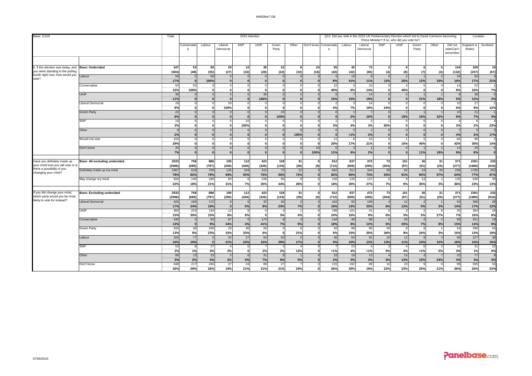| SNP<br>SNP<br>UKIP<br>Other<br>UKIP<br>Other<br>England or<br>Conservativ<br>Labour<br>Liberal<br>Green<br>Don't know<br>Conservativ<br>Labour<br>Liberal<br>Green<br>Did not<br>vote/Can't<br>Democrat<br>Party<br>Democrat<br>Party<br>Wales<br>e<br>e<br>remember<br>53<br>59<br>329<br>b. If the election was today, and<br><b>Base: Undecided</b><br>347<br>29<br>10<br>38<br>22<br>55<br>45<br>73<br>154<br>24<br>я<br>you were standing in the polling<br>(48)<br>(55)<br>(22)<br>(42)<br>(42)<br>(65)<br>(8)<br>(132)<br>(237)<br>(304)<br>(27)<br>(16)<br>(28)<br>(10)<br>(16)<br>(4)<br>(4)<br>(7)<br>booth right now, how would you<br>59<br>59<br>18<br>24<br>55<br>_abour<br>$\overline{0}$<br>$\overline{2}$<br>$\Omega$<br>$\Omega$<br>$\Omega$<br>-8<br>vote?<br>100%<br>12%<br>17%<br>8%<br>41%<br>11%<br>20%<br>12%<br>33%<br>16%<br>17%<br>$\mathbf{0}$<br>$\mathbf{0}$<br>$\mathbf{0}$<br>53<br>22<br>10<br>52<br>-53<br>$\Omega$<br>$\Omega$<br>14<br>Conservative<br>$\Omega$<br>40%<br>8%<br>9%<br>15%<br>100%<br>14%<br>46%<br>16%<br>$\mathbf{0}$<br>$\mathbf{0}$<br>$\mathbf{0}$<br>$\mathbf{0}$<br>$\Omega$<br>$\Omega$<br>$\mathbf{0}$<br><b>UKIP</b><br>38<br>38<br>14<br>38<br>$\circ$<br>$\Omega$<br>$\Omega$<br>$\Omega$<br>5%<br>11%<br>100%<br>15%<br>15%<br>19%<br>21%<br>18%<br>12%<br>$\mathbf{0}$<br>$\Omega$<br>$\Omega$<br>$\Omega$<br>$\Omega$<br>29<br>27<br>29<br>$\overline{10}$<br>$\mathbf{0}$<br>$\Omega$<br>14<br>iberal Democrat<br>$\Omega$<br>7%<br>6%<br>8%<br>ö<br>ö<br>19%<br>8%<br>4%<br>24%<br>100%<br>0<br>0 | Base: 3,019 | Total |  | 2015 intention |  |  |  |  | Q12. Did you vote in the 2010 UK Parliamentary Election which led to David Cameron becoming<br>Prime Minister? If so, who did you vote for? |  | Location |                        |
|-----------------------------------------------------------------------------------------------------------------------------------------------------------------------------------------------------------------------------------------------------------------------------------------------------------------------------------------------------------------------------------------------------------------------------------------------------------------------------------------------------------------------------------------------------------------------------------------------------------------------------------------------------------------------------------------------------------------------------------------------------------------------------------------------------------------------------------------------------------------------------------------------------------------------------------------------------------------------------------------------------------------------------------------------------------------------------------------------------------------------------------------------------------------------------------------------------------------------------------------------------------------------------------------------------------------------------------------------------------------------------------------------------------------------------------------------------------------------------------------------------------------------------------------------------------------------|-------------|-------|--|----------------|--|--|--|--|---------------------------------------------------------------------------------------------------------------------------------------------|--|----------|------------------------|
|                                                                                                                                                                                                                                                                                                                                                                                                                                                                                                                                                                                                                                                                                                                                                                                                                                                                                                                                                                                                                                                                                                                                                                                                                                                                                                                                                                                                                                                                                                                                                                       |             |       |  |                |  |  |  |  |                                                                                                                                             |  |          | Scotland               |
|                                                                                                                                                                                                                                                                                                                                                                                                                                                                                                                                                                                                                                                                                                                                                                                                                                                                                                                                                                                                                                                                                                                                                                                                                                                                                                                                                                                                                                                                                                                                                                       |             |       |  |                |  |  |  |  |                                                                                                                                             |  |          |                        |
|                                                                                                                                                                                                                                                                                                                                                                                                                                                                                                                                                                                                                                                                                                                                                                                                                                                                                                                                                                                                                                                                                                                                                                                                                                                                                                                                                                                                                                                                                                                                                                       |             |       |  |                |  |  |  |  |                                                                                                                                             |  |          | 19                     |
|                                                                                                                                                                                                                                                                                                                                                                                                                                                                                                                                                                                                                                                                                                                                                                                                                                                                                                                                                                                                                                                                                                                                                                                                                                                                                                                                                                                                                                                                                                                                                                       |             |       |  |                |  |  |  |  |                                                                                                                                             |  |          | (67)                   |
|                                                                                                                                                                                                                                                                                                                                                                                                                                                                                                                                                                                                                                                                                                                                                                                                                                                                                                                                                                                                                                                                                                                                                                                                                                                                                                                                                                                                                                                                                                                                                                       |             |       |  |                |  |  |  |  |                                                                                                                                             |  |          |                        |
|                                                                                                                                                                                                                                                                                                                                                                                                                                                                                                                                                                                                                                                                                                                                                                                                                                                                                                                                                                                                                                                                                                                                                                                                                                                                                                                                                                                                                                                                                                                                                                       |             |       |  |                |  |  |  |  |                                                                                                                                             |  |          | 21%                    |
|                                                                                                                                                                                                                                                                                                                                                                                                                                                                                                                                                                                                                                                                                                                                                                                                                                                                                                                                                                                                                                                                                                                                                                                                                                                                                                                                                                                                                                                                                                                                                                       |             |       |  |                |  |  |  |  |                                                                                                                                             |  |          |                        |
|                                                                                                                                                                                                                                                                                                                                                                                                                                                                                                                                                                                                                                                                                                                                                                                                                                                                                                                                                                                                                                                                                                                                                                                                                                                                                                                                                                                                                                                                                                                                                                       |             |       |  |                |  |  |  |  |                                                                                                                                             |  |          | 7%                     |
|                                                                                                                                                                                                                                                                                                                                                                                                                                                                                                                                                                                                                                                                                                                                                                                                                                                                                                                                                                                                                                                                                                                                                                                                                                                                                                                                                                                                                                                                                                                                                                       |             |       |  |                |  |  |  |  |                                                                                                                                             |  |          | 2%                     |
|                                                                                                                                                                                                                                                                                                                                                                                                                                                                                                                                                                                                                                                                                                                                                                                                                                                                                                                                                                                                                                                                                                                                                                                                                                                                                                                                                                                                                                                                                                                                                                       |             |       |  |                |  |  |  |  |                                                                                                                                             |  |          |                        |
|                                                                                                                                                                                                                                                                                                                                                                                                                                                                                                                                                                                                                                                                                                                                                                                                                                                                                                                                                                                                                                                                                                                                                                                                                                                                                                                                                                                                                                                                                                                                                                       |             |       |  |                |  |  |  |  |                                                                                                                                             |  |          | 12%                    |
| 22<br>10<br>22<br> 0 <br>21<br><b>Green Party</b><br>$\Omega$<br>$\Omega$<br>$\Omega$<br>$\Omega$<br>$\overline{z}$                                                                                                                                                                                                                                                                                                                                                                                                                                                                                                                                                                                                                                                                                                                                                                                                                                                                                                                                                                                                                                                                                                                                                                                                                                                                                                                                                                                                                                                   |             |       |  |                |  |  |  |  |                                                                                                                                             |  |          |                        |
| 6%<br>7%<br>6%<br>100%<br>2%<br>10%<br>$\mathbf{0}$<br>18%<br>16%<br>32%<br>$\Omega$<br>$\Omega$<br>$\Omega$<br>$\Omega$<br><b>SNP</b><br>10<br>$\overline{0}$<br>10<br>$\overline{2}$<br>$\mathbf 0$<br>6<br>C                                                                                                                                                                                                                                                                                                                                                                                                                                                                                                                                                                                                                                                                                                                                                                                                                                                                                                                                                                                                                                                                                                                                                                                                                                                                                                                                                       |             |       |  |                |  |  |  |  |                                                                                                                                             |  |          | 4%                     |
| 3%<br>3%<br>3%<br>100%<br>4%<br>65%<br>2%<br>$\Omega$<br>$\Omega$<br>$\mathbf{0}$<br>3%<br>$\mathbf{0}$<br>O                                                                                                                                                                                                                                                                                                                                                                                                                                                                                                                                                                                                                                                                                                                                                                                                                                                                                                                                                                                                                                                                                                                                                                                                                                                                                                                                                                                                                                                          |             |       |  |                |  |  |  |  |                                                                                                                                             |  |          | 23%                    |
| $\circ$<br>$\Omega$<br>$5\overline{5}$<br>Other<br>$\Omega$<br>$\Omega$<br>$\Omega$                                                                                                                                                                                                                                                                                                                                                                                                                                                                                                                                                                                                                                                                                                                                                                                                                                                                                                                                                                                                                                                                                                                                                                                                                                                                                                                                                                                                                                                                                   |             |       |  |                |  |  |  |  |                                                                                                                                             |  |          |                        |
| 2%<br>4%<br>2%<br> 0 <br>100%<br>1%<br>$\mathbf{0}$<br>2%<br>$\bf{0}$<br>nl<br>$\Omega$<br>$\mathbf{r}$<br>$\sqrt{2}$<br>$\mathbf{a}$<br>$\Omega$                                                                                                                                                                                                                                                                                                                                                                                                                                                                                                                                                                                                                                                                                                                                                                                                                                                                                                                                                                                                                                                                                                                                                                                                                                                                                                                                                                                                                     |             |       |  |                |  |  |  |  |                                                                                                                                             |  |          | 17%                    |
| 64<br>102<br>15<br>99<br>Would not vote<br>11<br>$\circ$<br>0<br>$\Omega$<br>$\Omega$<br>$\Omega$<br>8                                                                                                                                                                                                                                                                                                                                                                                                                                                                                                                                                                                                                                                                                                                                                                                                                                                                                                                                                                                                                                                                                                                                                                                                                                                                                                                                                                                                                                                                |             |       |  |                |  |  |  |  |                                                                                                                                             |  |          |                        |
| 29%<br>42%<br>20%<br>17%<br>21%<br>16%<br>40%<br>30%<br>$\mathbf{0}$<br>$\bf{0}$<br>$\mathbf{0}$<br>n<br><b>0</b><br>$\mathbf{0}$<br>$\mathbf{0}$<br>$\Omega$<br>- 1                                                                                                                                                                                                                                                                                                                                                                                                                                                                                                                                                                                                                                                                                                                                                                                                                                                                                                                                                                                                                                                                                                                                                                                                                                                                                                                                                                                                  |             |       |  |                |  |  |  |  |                                                                                                                                             |  |          | 14%                    |
| 25<br>$\overline{0}$<br>14<br>25<br>Don't know<br>$\mathbf 0$<br>$\Omega$<br>$\Omega$<br>$\Omega$<br>24<br>$\Omega$<br>9%<br>7%<br>6%<br>2%<br>100%<br>11%<br>11%<br>18%<br>8%<br>$\mathbf{0}$<br>$\Omega$<br>$\Omega$<br>$\Omega$<br>$\Omega$<br>$\Omega$                                                                                                                                                                                                                                                                                                                                                                                                                                                                                                                                                                                                                                                                                                                                                                                                                                                                                                                                                                                                                                                                                                                                                                                                                                                                                                            |             |       |  |                |  |  |  |  |                                                                                                                                             |  |          |                        |
|                                                                                                                                                                                                                                                                                                                                                                                                                                                                                                                                                                                                                                                                                                                                                                                                                                                                                                                                                                                                                                                                                                                                                                                                                                                                                                                                                                                                                                                                                                                                                                       |             |       |  |                |  |  |  |  |                                                                                                                                             |  |          |                        |
| 2533<br>758<br>886<br>423<br>128<br>Base: All excluding undecided<br>195<br>112<br>31<br>812<br>637<br>472<br>73<br>101<br>36<br>371<br>2301<br>Have you definitely made up<br>31                                                                                                                                                                                                                                                                                                                                                                                                                                                                                                                                                                                                                                                                                                                                                                                                                                                                                                                                                                                                                                                                                                                                                                                                                                                                                                                                                                                     |             |       |  |                |  |  |  |  |                                                                                                                                             |  |          | 232                    |
| your mind how you will vote or is<br>(685)<br>(426)<br>(264)<br>(2596)<br>(797)<br>(200)<br>(326)<br>(133)<br>(29)<br>(712)<br>(605)<br>(465)<br>(97)<br>(51)<br>(25)<br>(377)<br>(1680)<br>(0)                                                                                                                                                                                                                                                                                                                                                                                                                                                                                                                                                                                                                                                                                                                                                                                                                                                                                                                                                                                                                                                                                                                                                                                                                                                                                                                                                                       |             |       |  |                |  |  |  |  |                                                                                                                                             |  |          | (916)                  |
| there a possibility of you<br>Definitely made up my mind<br>1967<br>700<br>316<br>22<br>344<br>236<br>1765<br>618<br>135<br>104<br>72<br>662<br>511<br>68<br>92<br>24<br>30<br>changing your mind?                                                                                                                                                                                                                                                                                                                                                                                                                                                                                                                                                                                                                                                                                                                                                                                                                                                                                                                                                                                                                                                                                                                                                                                                                                                                                                                                                                    |             |       |  |                |  |  |  |  |                                                                                                                                             |  |          | 202                    |
| 79%<br>93%<br>72%<br>82%<br>64%<br>78%<br>82%<br>69%<br>75%<br>56%<br>80%<br>73%<br>93%<br>91%<br>65%<br>97%<br>77%<br>566<br>140<br>186<br>127<br>135<br>536<br>60<br>108<br>56<br>150<br>126<br>13<br>May change my mind<br>-5<br>9                                                                                                                                                                                                                                                                                                                                                                                                                                                                                                                                                                                                                                                                                                                                                                                                                                                                                                                                                                                                                                                                                                                                                                                                                                                                                                                                 |             |       |  |                |  |  |  |  |                                                                                                                                             |  |          | 87%<br>$\overline{30}$ |
| 9%<br>22%<br>20%<br>18%<br>21%<br>31%<br>7%<br>25%<br>44%<br>28%<br>18%<br>27%<br>7%<br>35%<br>36%<br>23%<br>3%                                                                                                                                                                                                                                                                                                                                                                                                                                                                                                                                                                                                                                                                                                                                                                                                                                                                                                                                                                                                                                                                                                                                                                                                                                                                                                                                                                                                                                                       |             |       |  |                |  |  |  |  |                                                                                                                                             |  |          | 13%                    |
|                                                                                                                                                                                                                                                                                                                                                                                                                                                                                                                                                                                                                                                                                                                                                                                                                                                                                                                                                                                                                                                                                                                                                                                                                                                                                                                                                                                                                                                                                                                                                                       |             |       |  |                |  |  |  |  |                                                                                                                                             |  |          |                        |
| 2533<br>758<br>886<br>112<br>423<br>128<br>812<br>637<br>371<br>2301<br>If you did change your mind,<br><b>Base: Excluding undecided</b><br>195<br>31<br>472<br>73<br>101<br>36<br>31                                                                                                                                                                                                                                                                                                                                                                                                                                                                                                                                                                                                                                                                                                                                                                                                                                                                                                                                                                                                                                                                                                                                                                                                                                                                                                                                                                                 |             |       |  |                |  |  |  |  |                                                                                                                                             |  |          | 232                    |
| which party would you be most<br>(2596)<br>(685)<br>(797)<br>(200)<br>(426)<br>(326)<br>(133)<br>(29)<br>(0)<br>(712)<br>(605)<br>(465)<br>(264)<br>(97)<br>(51)<br>(25)<br>(377)<br>(1680)<br>likely to vote for instead?                                                                                                                                                                                                                                                                                                                                                                                                                                                                                                                                                                                                                                                                                                                                                                                                                                                                                                                                                                                                                                                                                                                                                                                                                                                                                                                                            |             |       |  |                |  |  |  |  |                                                                                                                                             |  |          | (916)                  |
| Liberal Democrat<br>425<br>184<br>172<br>32<br>30<br>152<br>92<br>109<br>12<br>53<br>396<br>$\Omega$<br>17%<br>19%<br>8%<br>7%<br>19%<br>23%<br>6%<br>5%<br>17%<br>$\mathbf{0}$<br>5%<br>23%<br>14%<br>14%                                                                                                                                                                                                                                                                                                                                                                                                                                                                                                                                                                                                                                                                                                                                                                                                                                                                                                                                                                                                                                                                                                                                                                                                                                                                                                                                                            |             |       |  |                |  |  |  |  |                                                                                                                                             |  |          | 28<br>12%              |
| 24%<br>12%<br>3%<br>UKIP<br>383<br>224<br>134<br>12<br>198<br>101<br>25<br>364<br>41<br>3<br>$\Omega$<br>-8<br>-5                                                                                                                                                                                                                                                                                                                                                                                                                                                                                                                                                                                                                                                                                                                                                                                                                                                                                                                                                                                                                                                                                                                                                                                                                                                                                                                                                                                                                                                     |             |       |  |                |  |  |  |  |                                                                                                                                             |  |          | 19                     |
| 7%<br>15%<br>30%<br>15%<br>6%<br>8%<br>$\mathbf{0}$<br>3%<br>4%<br>24%<br>16%<br>9%<br>6%<br>3%<br>5%<br>27%<br>16%                                                                                                                                                                                                                                                                                                                                                                                                                                                                                                                                                                                                                                                                                                                                                                                                                                                                                                                                                                                                                                                                                                                                                                                                                                                                                                                                                                                                                                                   |             |       |  |                |  |  |  |  |                                                                                                                                             |  |          | 8%                     |
| 58<br>55<br>340<br>83<br>67<br>174<br>144<br>48<br>26<br>321<br>$\mathbf{a}$<br>Conservative<br>$\Omega$                                                                                                                                                                                                                                                                                                                                                                                                                                                                                                                                                                                                                                                                                                                                                                                                                                                                                                                                                                                                                                                                                                                                                                                                                                                                                                                                                                                                                                                              |             |       |  |                |  |  |  |  |                                                                                                                                             |  |          | 19                     |
| 9%<br>13%<br>34%<br>4%<br>7%<br>9%<br>18%<br>8%<br>12%<br>6%<br>25%<br>7%<br>8%<br>15%<br>14%<br>$\Omega$<br>41%                                                                                                                                                                                                                                                                                                                                                                                                                                                                                                                                                                                                                                                                                                                                                                                                                                                                                                                                                                                                                                                                                                                                                                                                                                                                                                                                                                                                                                                      |             |       |  |                |  |  |  |  |                                                                                                                                             |  |          | 8%                     |
| 334<br>200<br>36<br>$\overline{26}$<br>98<br>95<br>26<br>54<br>290<br>36<br>29<br>42<br>$\Omega$<br>-9<br>Green Party                                                                                                                                                                                                                                                                                                                                                                                                                                                                                                                                                                                                                                                                                                                                                                                                                                                                                                                                                                                                                                                                                                                                                                                                                                                                                                                                                                                                                                                 |             |       |  |                |  |  |  |  |                                                                                                                                             |  |          | 44                     |
| 9%<br>13%<br>5%<br>23%<br>33%<br>5%<br>15%<br>36%<br>15%<br>15%<br>6%<br>21%<br>20%<br>24%<br>3%<br>13%<br>$\mathbf{0}$<br>265<br>64<br>50<br>12<br>66<br>77<br>42<br>27<br>40<br>64<br>62<br>10<br>227                                                                                                                                                                                                                                                                                                                                                                                                                                                                                                                                                                                                                                                                                                                                                                                                                                                                                                                                                                                                                                                                                                                                                                                                                                                                                                                                                               |             |       |  |                |  |  |  |  |                                                                                                                                             |  |          | 19%<br>38              |
| Labour<br>10%<br>10%<br>24%<br>39%<br>17%<br>5%<br>10%<br>13%<br>13%<br>18%<br>21%<br>15%<br>11%<br>24%<br>10%<br>10%<br>$\mathbf{0}$                                                                                                                                                                                                                                                                                                                                                                                                                                                                                                                                                                                                                                                                                                                                                                                                                                                                                                                                                                                                                                                                                                                                                                                                                                                                                                                                                                                                                                 |             |       |  |                |  |  |  |  |                                                                                                                                             |  |          | 16%                    |
| SNP<br>27<br>23<br>31<br>53<br>$\mathbf{g}$<br>10<br>2                                                                                                                                                                                                                                                                                                                                                                                                                                                                                                                                                                                                                                                                                                                                                                                                                                                                                                                                                                                                                                                                                                                                                                                                                                                                                                                                                                                                                                                                                                                |             |       |  |                |  |  |  |  |                                                                                                                                             |  |          | 22                     |
| 3%<br>3%<br>4%<br>2%<br>1%<br>2%<br>2%<br>2%<br>13%<br>5%<br>4%<br>5%<br>1%<br>1%<br>1%<br>1%<br>$\Omega$                                                                                                                                                                                                                                                                                                                                                                                                                                                                                                                                                                                                                                                                                                                                                                                                                                                                                                                                                                                                                                                                                                                                                                                                                                                                                                                                                                                                                                                             |             |       |  |                |  |  |  |  |                                                                                                                                             |  |          | 9%                     |
| 23<br>18<br>13<br>10<br>Other<br>86<br>13<br>5<br>31<br>15<br>13<br>77<br>$\mathbf{R}$                                                                                                                                                                                                                                                                                                                                                                                                                                                                                                                                                                                                                                                                                                                                                                                                                                                                                                                                                                                                                                                                                                                                                                                                                                                                                                                                                                                                                                                                                |             |       |  |                |  |  |  |  |                                                                                                                                             |  |          |                        |
| 3%<br>2%<br>3%<br>2%<br>5%<br>7%<br>6%<br>5%<br>2%<br>3%<br>3%<br>13%<br>3%<br>3%<br>6%<br>10%<br>24%<br>16                                                                                                                                                                                                                                                                                                                                                                                                                                                                                                                                                                                                                                                                                                                                                                                                                                                                                                                                                                                                                                                                                                                                                                                                                                                                                                                                                                                                                                                           |             |       |  |                |  |  |  |  |                                                                                                                                             |  |          | 4%<br>53               |
| 648<br>217<br>246<br>37<br>24<br>89<br>27<br>215<br>192<br>89<br>23<br>98<br>595<br>Don't know<br>26%<br>28%<br>30%<br>29%<br>19%<br>21%<br>21%<br>24%<br>26%<br>19%<br>22%<br>23%<br>25%<br>21%<br>26%<br>26%<br>21%                                                                                                                                                                                                                                                                                                                                                                                                                                                                                                                                                                                                                                                                                                                                                                                                                                                                                                                                                                                                                                                                                                                                                                                                                                                                                                                                                 |             |       |  |                |  |  |  |  |                                                                                                                                             |  |          | 23%                    |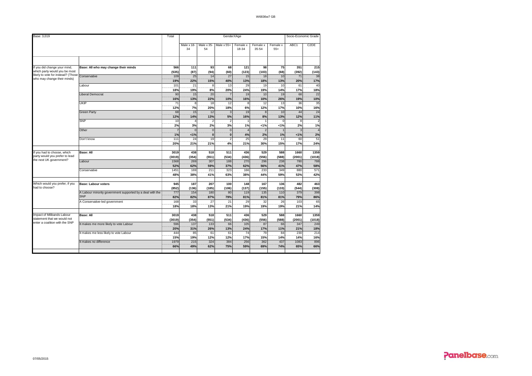| Base: 3,019                                                   |                                                           | Total           | GenderXAge       |                  |                |                   |                   |                   | Socio-Economic Grade |                   |  |  |  |
|---------------------------------------------------------------|-----------------------------------------------------------|-----------------|------------------|------------------|----------------|-------------------|-------------------|-------------------|----------------------|-------------------|--|--|--|
|                                                               |                                                           |                 | Male x 18-<br>34 | Male x 35-<br>54 | Male x 55+     | Female x<br>18-34 | Female x<br>35-54 | Female x<br>$55+$ | ABC1                 | C <sub>2</sub> DE |  |  |  |
|                                                               |                                                           |                 |                  |                  |                |                   |                   |                   |                      |                   |  |  |  |
| If you did change your mind,                                  | Base: All who may change their minds                      | 566             | 111              | 93               | 68             | 121               | 98                | 75                | 351                  | 215               |  |  |  |
| which party would you be most                                 |                                                           | (535)           | (87)             | (94)             | (60)           | (123)             | (103)             | (68)              | (392)                | (143)             |  |  |  |
| likely to vote for instead? (Those                            | Conservative                                              | 109             | 25               | 14               | 27             | 15                | 18                | 10                | 71                   | 38                |  |  |  |
| who may change their minds)                                   |                                                           | 19%             | 22%              | 15%              | 40%            | 13%               | 18%               | 13%               | 20%                  | 17%               |  |  |  |
|                                                               | Labour                                                    | 101             | 21               | 8                | 13             | 29                | 19                | 10                | 61                   | 40                |  |  |  |
|                                                               |                                                           | 18%             | 19%              | 8%               | 20%            | 24%               | 19%               | 14%               | 17%                  | 18%               |  |  |  |
|                                                               | Liberal Democrat                                          | 90              | 15               | 20               |                | 19                | 10                | 19                | 68                   | 22                |  |  |  |
|                                                               |                                                           | 16%             | 13%              | 22%              | 10%            | 16%               | 10%               | 26%               | 19%                  | 10%               |  |  |  |
|                                                               | UKIP                                                      | $\overline{71}$ | 8                | 18               | 12             | ε                 | 12                | 13                | 36                   | 35                |  |  |  |
|                                                               |                                                           | 12%             | 7%               | 20%              | 18%            | 6%                | 12%               | 17%               | 10%                  | 16%               |  |  |  |
|                                                               | Green Party                                               | 68              | 15               | 12               | 3              | 19                | $\mathbf{a}$      | 10                | 44                   | 24                |  |  |  |
|                                                               |                                                           | 12%             | 14%              | 13%              | 5%             | 16%               | 8%                | 13%               | 12%                  | 11%               |  |  |  |
|                                                               | <b>SNP</b>                                                | 10              | $\overline{4}$   | $\overline{2}$   | $\overline{2}$ |                   |                   | $\Omega$          | 8                    |                   |  |  |  |
|                                                               |                                                           | 2%              | 3%               | 2%               | 3%             | 1%                | 1%                | 1%                | 2%                   | 1%                |  |  |  |
|                                                               | Other                                                     |                 | $\mathbf 0$      | $\mathbf 0$      | $\Omega$       | $\lambda$         | 2                 |                   |                      |                   |  |  |  |
|                                                               |                                                           | 1%              | 1%               | $\mathbf{0}$     | $\mathbf{0}$   | 4%                | 2%                | 1%                | 1%                   | 2%                |  |  |  |
|                                                               | Don't know                                                | 111             | 24               | 19               | $\overline{2}$ | 25                | 29                | 11                | 60                   | 51                |  |  |  |
|                                                               |                                                           | 20%             | 21%              | 21%              | 4%             | 21%               | 30%               | 15%               | 17%                  | 24%               |  |  |  |
| If you had to choose, which                                   | <b>Base: All</b>                                          | 3019            | 438              | 518              | 511            | 436               | 529               | 588               | 1660                 | 1359              |  |  |  |
| party would you prefer to lead                                |                                                           | (3019)          | (354)            | (551)            | (534)          | (436)             | (556)             | (588)             | (2001)               | (1018)            |  |  |  |
| the next UK government?                                       | Labour                                                    | 1568            | 269              | 307              | 188            | 270               | 296               | 238               | 780                  | 788               |  |  |  |
|                                                               |                                                           | 52%             | 62%              | 59%              | 37%            | 62%               | 56%               | 41%               | 47%                  | 58%               |  |  |  |
|                                                               | Conservative                                              | 1451            | 169              | 211              | 323            | 166               | 233               | 349               | 880                  | 571               |  |  |  |
|                                                               |                                                           | 48%             | 38%              | 41%              | 63%            | 38%               | 44%               | 59%               | 53%                  | 42%               |  |  |  |
| Which would you prefer, if you                                | <b>Base: Labour voters</b>                                | 945             | 187              | 207              | 100            | 148               | 167               | 136               | 482                  | 463               |  |  |  |
| had to choose?                                                |                                                           | (852)           | (136)            | (185)            | (106)          | (137)             | (155)             | (133)             | (544)                | (308)             |  |  |  |
|                                                               | A Labour minority government supported by a deal with the | 777             | 154              | 180              | 80             | 119               | 135               | 110               | 379                  | 398               |  |  |  |
|                                                               | <b>SNP</b>                                                | 82%             | 82%              | 87%              | 79%            | 81%               | 81%               | 81%               | 79%                  | 86%               |  |  |  |
|                                                               | A Conservative-led government                             | 168             | 33               | 27               | 21             | 29                | 32                | 26                | 103                  | 65                |  |  |  |
|                                                               |                                                           | 18%             | 18%              | 13%              | 21%            | 19%               | 19%               | 19%               | 21%                  | 14%               |  |  |  |
|                                                               |                                                           |                 |                  |                  |                |                   |                   |                   |                      |                   |  |  |  |
| Impact of Milibands Labour                                    | <b>Base: All</b>                                          | 3019            | 438              | 518              | 511            | 436               | 529               | 588               | 1660                 | 1359              |  |  |  |
| statement that we would not<br>enter a coalition with the SNP |                                                           | (3019)          | (354)            | (551)            | (534)          | (436)             | (556)             | (588)             | (2001)               | (1018)            |  |  |  |
|                                                               | It makes me more likely to vote Labour                    | 596             | 137              | 133              | 66             | 105               | 87                | 66                | 347                  | 249               |  |  |  |
|                                                               |                                                           | 20%             | 31%              | 26%              | 13%            | 24%               | 17%               | 11%               | 21%                  | 18%               |  |  |  |
|                                                               | It makes me less likely to vote Labour                    | 444             | 85               | 61               | 61             | $\overline{74}$   | 79                | 84                | 230                  | 214               |  |  |  |
|                                                               |                                                           | 15%             | 19%              | 12%              | 12%            | 17%               | 15%               | 14%               | 14%                  | 16%               |  |  |  |
|                                                               | t makes no difference                                     | 1979            | 215              | 324              | 384            | 256               | 362               | 437               | 1083                 | 896               |  |  |  |
|                                                               |                                                           | 66%             | 49%              | 62%              | 75%            | 59%               | 69%               | 74%               | 65%                  | 66%               |  |  |  |
|                                                               |                                                           |                 |                  |                  |                |                   |                   |                   |                      |                   |  |  |  |